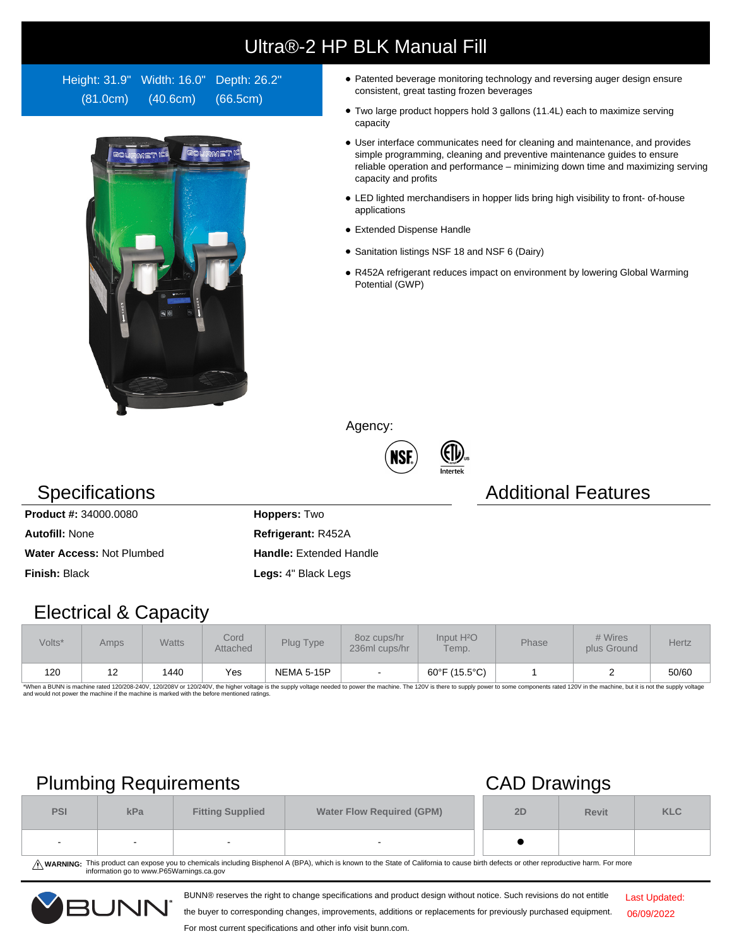# Ultra®-2 HP BLK Manual Fill

Height: 31.9" Width: 16.0" Depth: 26.2" (81.0cm) (40.6cm) (66.5cm)



- Patented beverage monitoring technology and reversing auger design ensure consistent, great tasting frozen beverages
- Two large product hoppers hold 3 gallons (11.4L) each to maximize serving capacity
- User interface communicates need for cleaning and maintenance, and provides simple programming, cleaning and preventive maintenance guides to ensure reliable operation and performance – minimizing down time and maximizing serving capacity and profits
- LED lighted merchandisers in hopper lids bring high visibility to front- of-house applications
- Extended Dispense Handle
- Sanitation listings NSF 18 and NSF 6 (Dairy)
- R452A refrigerant reduces impact on environment by lowering Global Warming Potential (GWP)

Agency:



### **Specifications Additional Features**

**Product #:** 34000.0080 **Hoppers:** Two **Autofill:** None **Refrigerant:** R452A Water Access: Not Plumbed **Handle:** Extended Handle **Finish:** Black **Legs:** 4" Black Legs

### Electrical & Capacity

| Volts* | Amps       | <b>Watts</b> | Cord<br>Attached | Plug Type  | 80z cups/hr<br>236ml cups/hr | Input H <sup>2</sup> O<br>Temp. | Phase | # Wires<br>plus Ground | <b>Hertz</b> |
|--------|------------|--------------|------------------|------------|------------------------------|---------------------------------|-------|------------------------|--------------|
| 120    | . <u>.</u> | 1440         | Yes              | NEMA 5-15P |                              | 60°F (15.5°C)                   |       |                        | 50/60        |

\*When a BUNN is machine rated 120/208-240V, 120/208V or 120/240V, the higher voltage is the supply voltage needed to power the machine. The 120V is there to supply power to some components rated 120V in the machine, but it

## Plumbing Requirements CAD Drawings

|            | $\overline{\phantom{a}}$ |                                                             | . .    |    |              |            |
|------------|--------------------------|-------------------------------------------------------------|--------|----|--------------|------------|
| <b>PSI</b> | kPa                      | <b>Water Flow Required (GPM)</b><br><b>Fitting Supplied</b> |        | 2D | <b>Revit</b> | <b>KLC</b> |
| $\sim$     | $\sim$                   | $\sim$                                                      | $\sim$ |    |              |            |

WARNING: This product can expose you to chemicals including Bisphenol A (BPA), which is known to the State of California to cause birth defects or other reproductive harm. For more<br>information go to www.P65Warnings.ca.gov

BUNN® reserves the right to change specifications and product design without notice. Such revisions do not entitle



the buyer to corresponding changes, improvements, additions or replacements for previously purchased equipment.

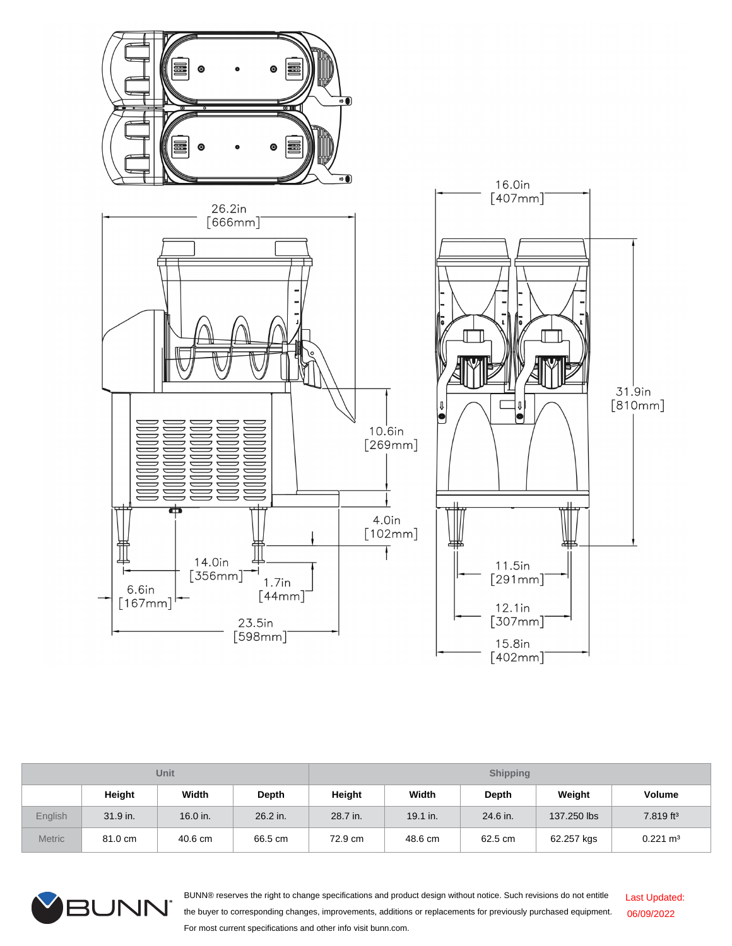

| <b>Unit</b>    |            |          |              | <b>Shipping</b> |            |          |             |                       |  |
|----------------|------------|----------|--------------|-----------------|------------|----------|-------------|-----------------------|--|
|                | Height     | Width    | <b>Depth</b> | Height          | Width      | Depth    | Weight      | Volume                |  |
| <b>English</b> | $31.9$ in. | 16.0 in. | 26.2 in.     | 28.7 in.        | $19.1$ in. | 24.6 in. | 137,250 lbs | 7.819 ft <sup>3</sup> |  |
| <b>Metric</b>  | 81.0 cm    | 40.6 cm  | 66.5 cm      | 72.9 cm         | 48.6 cm    | 62.5 cm  | 62.257 kgs  | $0.221 \text{ m}^3$   |  |



BUNN® reserves the right to change specifications and product design without notice. Such revisions do not entitle the buyer to corresponding changes, improvements, additions or replacements for previously purchased equipment. For most current specifications and other info visit bunn.com. Last Updated: 06/09/2022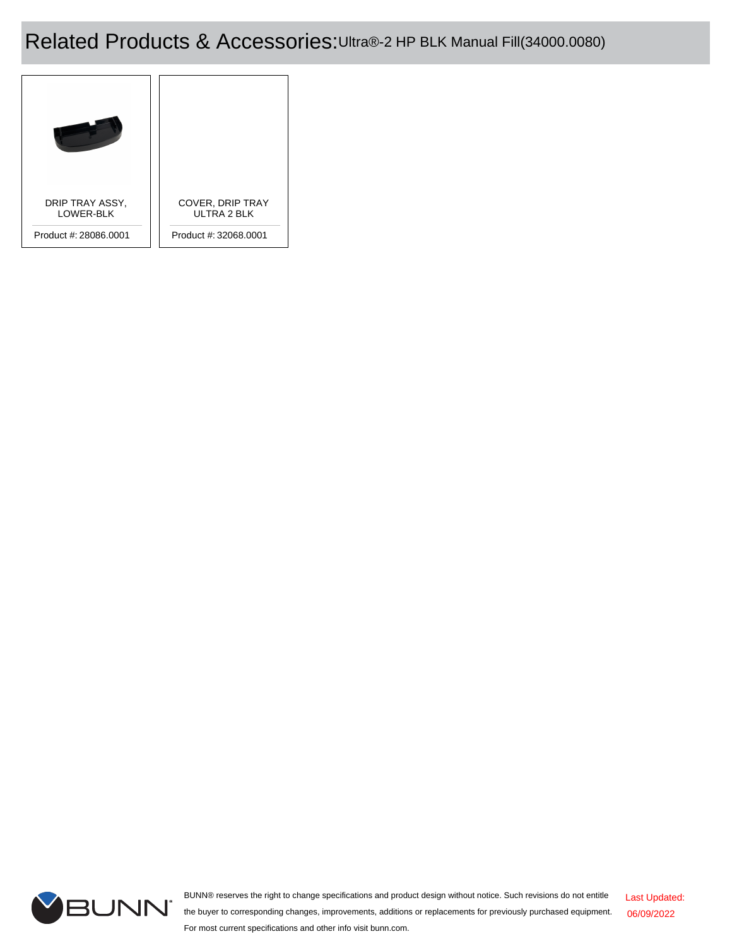## Related Products & Accessories:Ultra®-2 HP BLK Manual Fill(34000.0080)